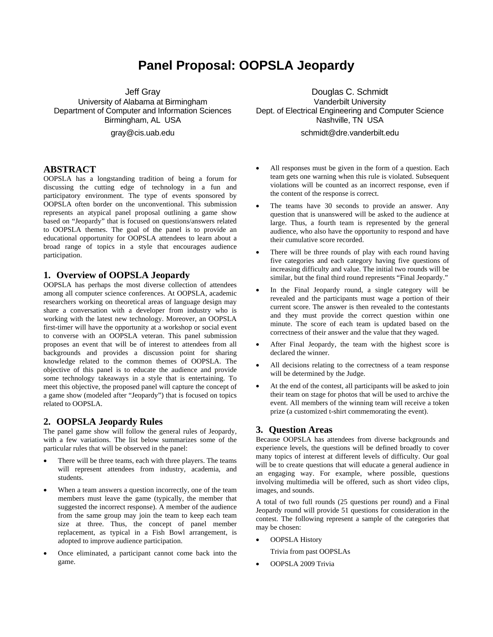# **Panel Proposal: OOPSLA Jeopardy**

Jeff Gray University of Alabama at Birmingham Department of Computer and Information Sciences Birmingham, AL USA

gray@cis.uab.edu

#### **ABSTRACT**

OOPSLA has a longstanding tradition of being a forum for discussing the cutting edge of technology in a fun and participatory environment. The type of events sponsored by OOPSLA often border on the unconventional. This submission represents an atypical panel proposal outlining a game show based on "Jeopardy" that is focused on questions/answers related to OOPSLA themes. The goal of the panel is to provide an educational opportunity for OOPSLA attendees to learn about a broad range of topics in a style that encourages audience participation.

## **1. Overview of OOPSLA Jeopardy**

OOPSLA has perhaps the most diverse collection of attendees among all computer science conferences. At OOPSLA, academic researchers working on theoretical areas of language design may share a conversation with a developer from industry who is working with the latest new technology. Moreover, an OOPSLA first-timer will have the opportunity at a workshop or social event to converse with an OOPSLA veteran. This panel submission proposes an event that will be of interest to attendees from all backgrounds and provides a discussion point for sharing knowledge related to the common themes of OOPSLA. The objective of this panel is to educate the audience and provide some technology takeaways in a style that is entertaining. To meet this objective, the proposed panel will capture the concept of a game show (modeled after "Jeopardy") that is focused on topics related to OOPSLA.

## **2. OOPSLA Jeopardy Rules**

The panel game show will follow the general rules of Jeopardy, with a few variations. The list below summarizes some of the particular rules that will be observed in the panel:

- There will be three teams, each with three players. The teams will represent attendees from industry, academia, and students.
- When a team answers a question incorrectly, one of the team members must leave the game (typically, the member that suggested the incorrect response). A member of the audience from the same group may join the team to keep each team size at three. Thus, the concept of panel member replacement, as typical in a Fish Bowl arrangement, is adopted to improve audience participation.
- Once eliminated, a participant cannot come back into the game.

Douglas C. Schmidt Vanderbilt University Dept. of Electrical Engineering and Computer Science Nashville, TN USA

schmidt@dre.vanderbilt.edu

- All responses must be given in the form of a question. Each team gets one warning when this rule is violated. Subsequent violations will be counted as an incorrect response, even if the content of the response is correct.
- The teams have 30 seconds to provide an answer. Any question that is unanswered will be asked to the audience at large. Thus, a fourth team is represented by the general audience, who also have the opportunity to respond and have their cumulative score recorded.
- There will be three rounds of play with each round having five categories and each category having five questions of increasing difficulty and value. The initial two rounds will be similar, but the final third round represents "Final Jeopardy."
- In the Final Jeopardy round, a single category will be revealed and the participants must wage a portion of their current score. The answer is then revealed to the contestants and they must provide the correct question within one minute. The score of each team is updated based on the correctness of their answer and the value that they waged.
- After Final Jeopardy, the team with the highest score is declared the winner.
- All decisions relating to the correctness of a team response will be determined by the Judge.
- At the end of the contest, all participants will be asked to join their team on stage for photos that will be used to archive the event. All members of the winning team will receive a token prize (a customized t-shirt commemorating the event).

## **3. Question Areas**

Because OOPSLA has attendees from diverse backgrounds and experience levels, the questions will be defined broadly to cover many topics of interest at different levels of difficulty. Our goal will be to create questions that will educate a general audience in an engaging way. For example, where possible, questions involving multimedia will be offered, such as short video clips, images, and sounds.

A total of two full rounds (25 questions per round) and a Final Jeopardy round will provide 51 questions for consideration in the contest. The following represent a sample of the categories that may be chosen:

• OOPSLA History

Trivia from past OOPSLAs

• OOPSLA 2009 Trivia